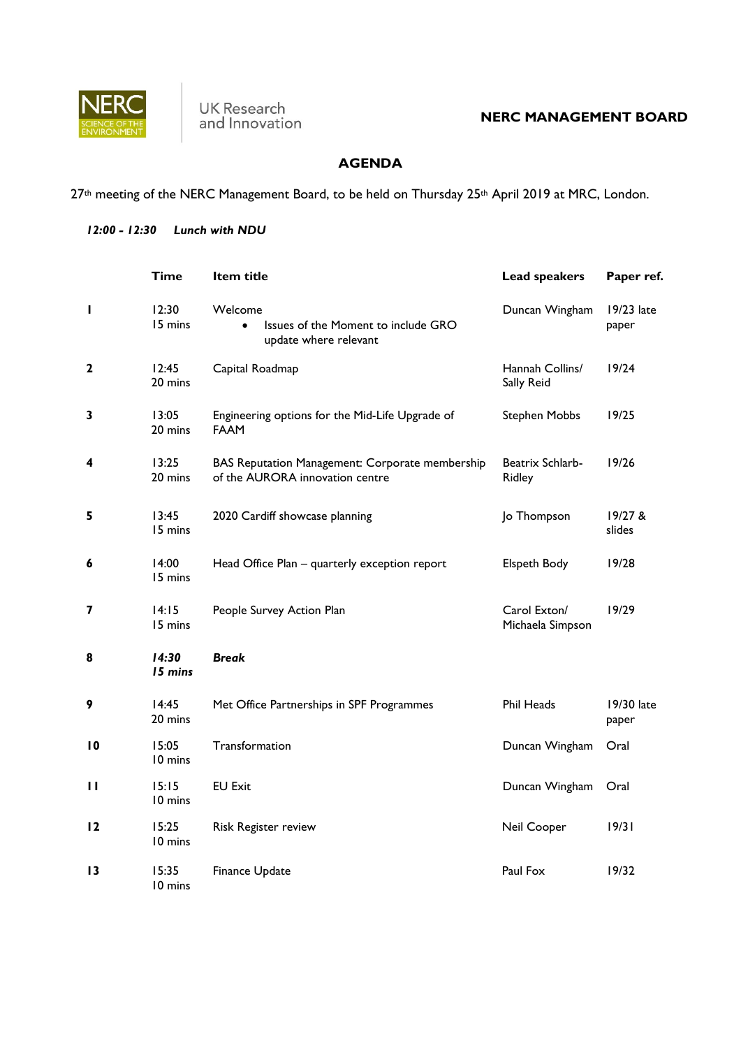

## **AGENDA**

27<sup>th</sup> meeting of the NERC Management Board, to be held on Thursday 25<sup>th</sup> April 2019 at MRC, London.

## *12:00 - 12:30 Lunch with NDU*

|                 | Time             | Item title                                                                           | Lead speakers                     | Paper ref.          |
|-----------------|------------------|--------------------------------------------------------------------------------------|-----------------------------------|---------------------|
| П               | 12:30<br>15 mins | Welcome<br>Issues of the Moment to include GRO<br>$\bullet$<br>update where relevant | Duncan Wingham                    | 19/23 late<br>paper |
| 2               | 12:45<br>20 mins | Capital Roadmap                                                                      | Hannah Collins/<br>Sally Reid     | 19/24               |
| 3               | 13:05<br>20 mins | Engineering options for the Mid-Life Upgrade of<br><b>FAAM</b>                       | <b>Stephen Mobbs</b>              | 19/25               |
| 4               | 13:25<br>20 mins | BAS Reputation Management: Corporate membership<br>of the AURORA innovation centre   | Beatrix Schlarb-<br><b>Ridley</b> | 19/26               |
| 5               | 13:45<br>15 mins | 2020 Cardiff showcase planning                                                       | Jo Thompson                       | 19/27 &<br>slides   |
| 6               | 14:00<br>15 mins | Head Office Plan - quarterly exception report                                        | <b>Elspeth Body</b>               | 19/28               |
| 7               | 14:15<br>15 mins | People Survey Action Plan                                                            | Carol Exton/<br>Michaela Simpson  | 19/29               |
| 8               | 14:30<br>15 mins | <b>Break</b>                                                                         |                                   |                     |
| 9               | 14:45<br>20 mins | Met Office Partnerships in SPF Programmes                                            | Phil Heads                        | 19/30 late<br>paper |
| $\overline{10}$ | 15:05<br>10 mins | Transformation                                                                       | Duncan Wingham                    | Oral                |
| $\mathbf{H}$    | 15:15<br>10 mins | <b>EU Exit</b>                                                                       | Duncan Wingham                    | Oral                |
| 12              | 15:25<br>10 mins | Risk Register review                                                                 | Neil Cooper                       | 19/31               |
| $\overline{13}$ | 15:35<br>10 mins | Finance Update                                                                       | Paul Fox                          | 19/32               |